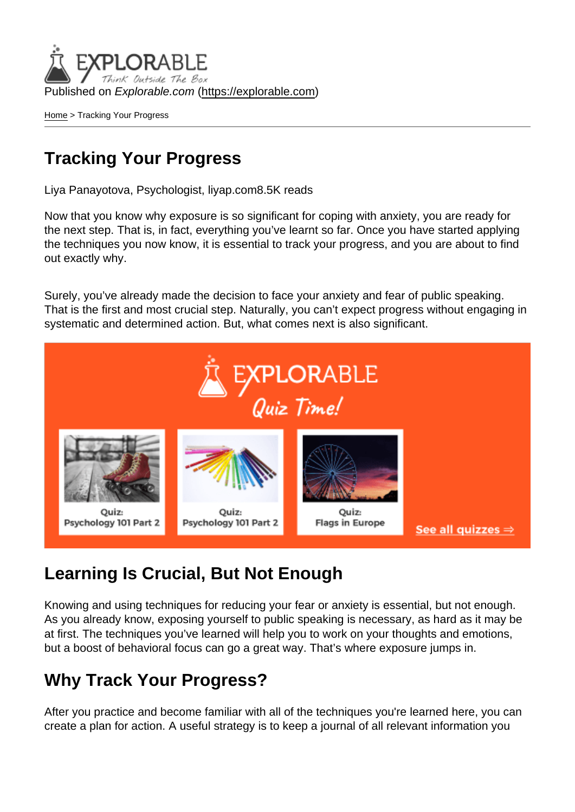Published on Explorable.com (<https://explorable.com>)

[Home](https://explorable.com/) > Tracking Your Progress

#### Tracking Your Progress

Liya Panayotova, Psychologist, liyap.com8.5K reads

Now that you know why exposure is so significant for coping with anxiety, you are ready for the next step. That is, in fact, everything you've learnt so far. Once you have started applying the techniques you now know, it is essential to track your progress, and you are about to find out exactly why.

Surely, you've already made the decision to face your anxiety and fear of public speaking. That is the first and most crucial step. Naturally, you can't expect progress without engaging in systematic and determined action. But, what comes next is also significant.

### Learning Is Crucial, But Not Enough

Knowing and using techniques for reducing your fear or anxiety is essential, but not enough. As you already know, exposing yourself to public speaking is necessary, as hard as it may be at first. The techniques you've learned will help you to work on your thoughts and emotions, but a boost of behavioral focus can go a great way. That's where exposure jumps in.

#### Why Track Your Progress?

After you practice and become familiar with all of the techniques you're learned here, you can create a plan for action. A useful strategy is to keep a journal of all relevant information you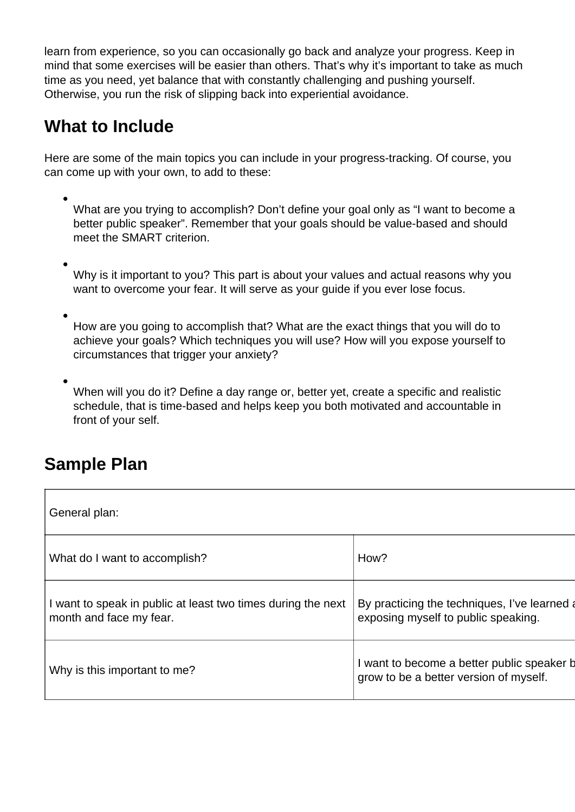learn from experience, so you can occasionally go back and analyze your progress. Keep in mind that some exercises will be easier than others. That's why it's important to take as much time as you need, yet balance that with constantly challenging and pushing yourself. Otherwise, you run the risk of slipping back into experiential avoidance.

### **What to Include**

Here are some of the main topics you can include in your progress-tracking. Of course, you can come up with your own, to add to these:

What are you trying to accomplish? Don't define your goal only as "I want to become a better public speaker". Remember that your goals should be value-based and should meet the SMART criterion.

Why is it important to you? This part is about your values and actual reasons why you want to overcome your fear. It will serve as your guide if you ever lose focus.

How are you going to accomplish that? What are the exact things that you will do to achieve your goals? Which techniques you will use? How will you expose yourself to circumstances that trigger your anxiety?

When will you do it? Define a day range or, better yet, create a specific and realistic schedule, that is time-based and helps keep you both motivated and accountable in front of your self.

#### **Sample Plan**

| General plan:                                                                           |                                                                                      |  |
|-----------------------------------------------------------------------------------------|--------------------------------------------------------------------------------------|--|
| What do I want to accomplish?                                                           | How?                                                                                 |  |
| I want to speak in public at least two times during the next<br>month and face my fear. | By practicing the techniques, I've learned a<br>exposing myself to public speaking.  |  |
| Why is this important to me?                                                            | I want to become a better public speaker b<br>grow to be a better version of myself. |  |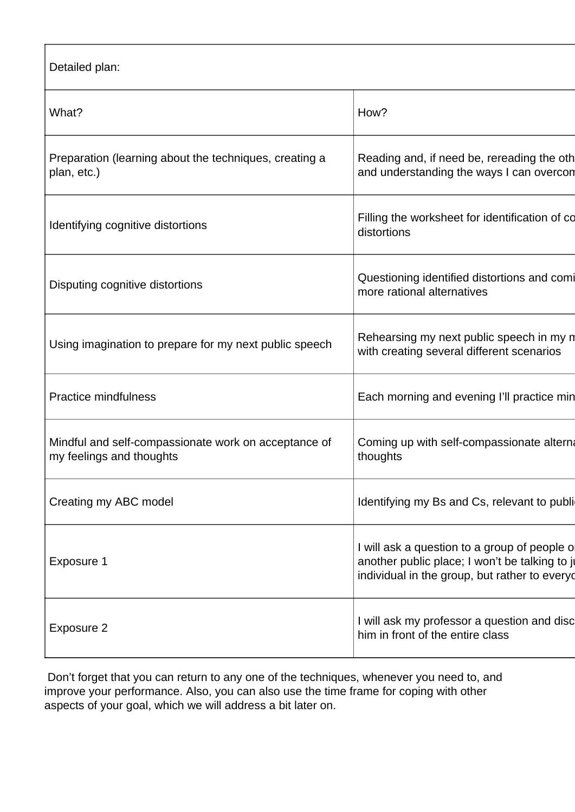Detailed plan:

| What?                                                                            | How?                                                                                                                                             |
|----------------------------------------------------------------------------------|--------------------------------------------------------------------------------------------------------------------------------------------------|
| Preparation (learning about the techniques, creating a<br>plan, etc.)            | Reading and, if need be, rereading the oth<br>and understanding the ways I can overcon                                                           |
| Identifying cognitive distortions                                                | Filling the worksheet for identification of co<br>distortions                                                                                    |
| Disputing cognitive distortions                                                  | Questioning identified distortions and comi<br>more rational alternatives                                                                        |
| Using imagination to prepare for my next public speech                           | Rehearsing my next public speech in my n<br>with creating several different scenarios                                                            |
| <b>Practice mindfulness</b>                                                      | Each morning and evening I'll practice min                                                                                                       |
| Mindful and self-compassionate work on acceptance of<br>my feelings and thoughts | Coming up with self-compassionate alterna<br>thoughts                                                                                            |
| Creating my ABC model                                                            | Identifying my Bs and Cs, relevant to publi-                                                                                                     |
| Exposure 1                                                                       | I will ask a question to a group of people of<br>another public place; I won't be talking to ju<br>individual in the group, but rather to everyo |
| Exposure 2                                                                       | I will ask my professor a question and disc<br>him in front of the entire class                                                                  |

 Don't forget that you can return to any one of the techniques, whenever you need to, and improve your performance. Also, you can also use the time frame for coping with other aspects of your goal, which we will address a bit later on.